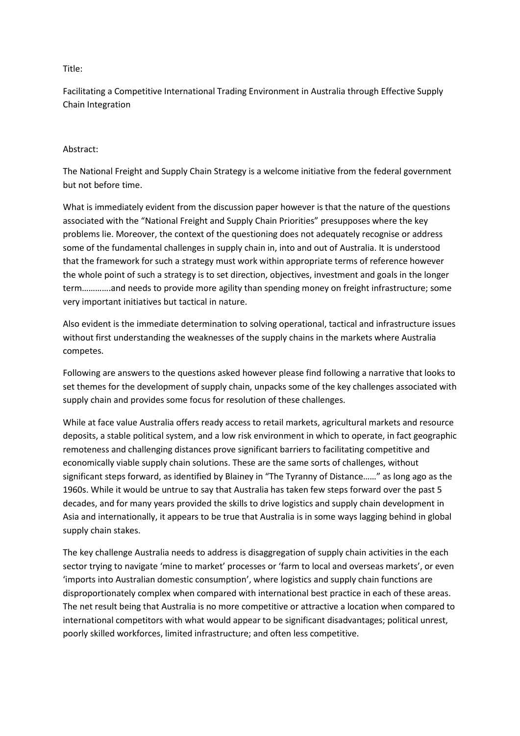## Title:

Facilitating a Competitive International Trading Environment in Australia through Effective Supply Chain Integration

## Abstract:

The National Freight and Supply Chain Strategy is a welcome initiative from the federal government but not before time.

What is immediately evident from the discussion paper however is that the nature of the questions associated with the "National Freight and Supply Chain Priorities" presupposes where the key problems lie. Moreover, the context of the questioning does not adequately recognise or address some of the fundamental challenges in supply chain in, into and out of Australia. It is understood that the framework for such a strategy must work within appropriate terms of reference however the whole point of such a strategy is to set direction, objectives, investment and goals in the longer term………….and needs to provide more agility than spending money on freight infrastructure; some very important initiatives but tactical in nature.

Also evident is the immediate determination to solving operational, tactical and infrastructure issues without first understanding the weaknesses of the supply chains in the markets where Australia competes.

Following are answers to the questions asked however please find following a narrative that looks to set themes for the development of supply chain, unpacks some of the key challenges associated with supply chain and provides some focus for resolution of these challenges.

While at face value Australia offers ready access to retail markets, agricultural markets and resource deposits, a stable political system, and a low risk environment in which to operate, in fact geographic remoteness and challenging distances prove significant barriers to facilitating competitive and economically viable supply chain solutions. These are the same sorts of challenges, without significant steps forward, as identified by Blainey in "The Tyranny of Distance……" as long ago as the 1960s. While it would be untrue to say that Australia has taken few steps forward over the past 5 decades, and for many years provided the skills to drive logistics and supply chain development in Asia and internationally, it appears to be true that Australia is in some ways lagging behind in global supply chain stakes.

The key challenge Australia needs to address is disaggregation of supply chain activities in the each sector trying to navigate 'mine to market' processes or 'farm to local and overseas markets', or even 'imports into Australian domestic consumption', where logistics and supply chain functions are disproportionately complex when compared with international best practice in each of these areas. The net result being that Australia is no more competitive or attractive a location when compared to international competitors with what would appear to be significant disadvantages; political unrest, poorly skilled workforces, limited infrastructure; and often less competitive.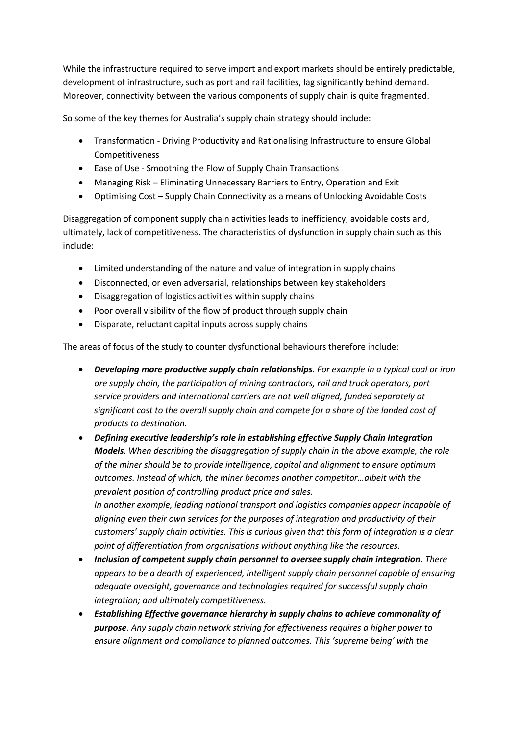While the infrastructure required to serve import and export markets should be entirely predictable, development of infrastructure, such as port and rail facilities, lag significantly behind demand. Moreover, connectivity between the various components of supply chain is quite fragmented.

So some of the key themes for Australia's supply chain strategy should include:

- Transformation Driving Productivity and Rationalising Infrastructure to ensure Global Competitiveness
- Ease of Use Smoothing the Flow of Supply Chain Transactions
- Managing Risk Eliminating Unnecessary Barriers to Entry, Operation and Exit
- Optimising Cost Supply Chain Connectivity as a means of Unlocking Avoidable Costs

Disaggregation of component supply chain activities leads to inefficiency, avoidable costs and, ultimately, lack of competitiveness. The characteristics of dysfunction in supply chain such as this include:

- Limited understanding of the nature and value of integration in supply chains
- Disconnected, or even adversarial, relationships between key stakeholders
- Disaggregation of logistics activities within supply chains
- Poor overall visibility of the flow of product through supply chain
- Disparate, reluctant capital inputs across supply chains

The areas of focus of the study to counter dysfunctional behaviours therefore include:

- *Developing more productive supply chain relationships. For example in a typical coal or iron ore supply chain, the participation of mining contractors, rail and truck operators, port service providers and international carriers are not well aligned, funded separately at significant cost to the overall supply chain and compete for a share of the landed cost of products to destination.*
- *Defining executive leadership's role in establishing effective Supply Chain Integration Models. When describing the disaggregation of supply chain in the above example, the role of the miner should be to provide intelligence, capital and alignment to ensure optimum outcomes. Instead of which, the miner becomes another competitor…albeit with the prevalent position of controlling product price and sales. In another example, leading national transport and logistics companies appear incapable of aligning even their own services for the purposes of integration and productivity of their customers' supply chain activities. This is curious given that this form of integration is a clear*
- *point of differentiation from organisations without anything like the resources. Inclusion of competent supply chain personnel to oversee supply chain integration. There appears to be a dearth of experienced, intelligent supply chain personnel capable of ensuring*
- *adequate oversight, governance and technologies required for successful supply chain integration; and ultimately competitiveness.*
- *Establishing Effective governance hierarchy in supply chains to achieve commonality of purpose. Any supply chain network striving for effectiveness requires a higher power to ensure alignment and compliance to planned outcomes. This 'supreme being' with the*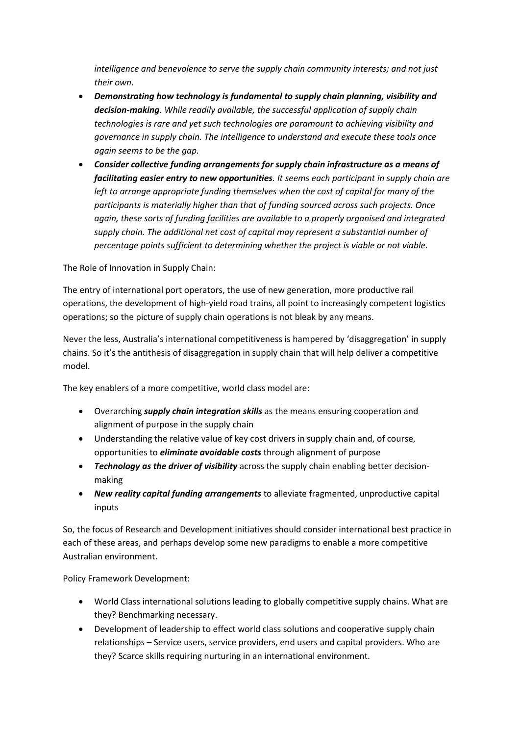*intelligence and benevolence to serve the supply chain community interests; and not just their own.*

- *Demonstrating how technology is fundamental to supply chain planning, visibility and decision-making. While readily available, the successful application of supply chain technologies is rare and yet such technologies are paramount to achieving visibility and governance in supply chain. The intelligence to understand and execute these tools once again seems to be the gap.*
- *Consider collective funding arrangements for supply chain infrastructure as a means of facilitating easier entry to new opportunities. It seems each participant in supply chain are left to arrange appropriate funding themselves when the cost of capital for many of the participants is materially higher than that of funding sourced across such projects. Once again, these sorts of funding facilities are available to a properly organised and integrated supply chain. The additional net cost of capital may represent a substantial number of percentage points sufficient to determining whether the project is viable or not viable.*

The Role of Innovation in Supply Chain:

The entry of international port operators, the use of new generation, more productive rail operations, the development of high-yield road trains, all point to increasingly competent logistics operations; so the picture of supply chain operations is not bleak by any means.

Never the less, Australia's international competitiveness is hampered by 'disaggregation' in supply chains. So it's the antithesis of disaggregation in supply chain that will help deliver a competitive model.

The key enablers of a more competitive, world class model are:

- Overarching *supply chain integration skills* as the means ensuring cooperation and alignment of purpose in the supply chain
- Understanding the relative value of key cost drivers in supply chain and, of course, opportunities to *eliminate avoidable costs* through alignment of purpose
- *Technology as the driver of visibility* across the supply chain enabling better decisionmaking
- *New reality capital funding arrangements* to alleviate fragmented, unproductive capital inputs

So, the focus of Research and Development initiatives should consider international best practice in each of these areas, and perhaps develop some new paradigms to enable a more competitive Australian environment.

Policy Framework Development:

- World Class international solutions leading to globally competitive supply chains. What are they? Benchmarking necessary.
- Development of leadership to effect world class solutions and cooperative supply chain relationships – Service users, service providers, end users and capital providers. Who are they? Scarce skills requiring nurturing in an international environment.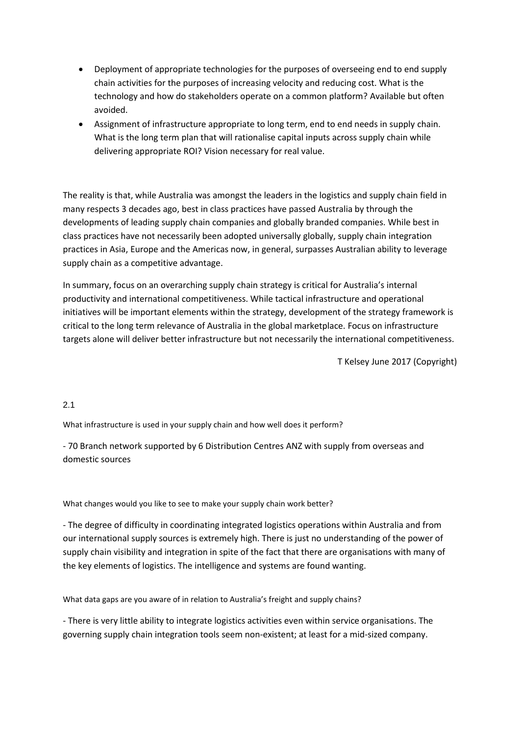- Deployment of appropriate technologies for the purposes of overseeing end to end supply chain activities for the purposes of increasing velocity and reducing cost. What is the technology and how do stakeholders operate on a common platform? Available but often avoided.
- Assignment of infrastructure appropriate to long term, end to end needs in supply chain. What is the long term plan that will rationalise capital inputs across supply chain while delivering appropriate ROI? Vision necessary for real value.

The reality is that, while Australia was amongst the leaders in the logistics and supply chain field in many respects 3 decades ago, best in class practices have passed Australia by through the developments of leading supply chain companies and globally branded companies. While best in class practices have not necessarily been adopted universally globally, supply chain integration practices in Asia, Europe and the Americas now, in general, surpasses Australian ability to leverage supply chain as a competitive advantage.

In summary, focus on an overarching supply chain strategy is critical for Australia's internal productivity and international competitiveness. While tactical infrastructure and operational initiatives will be important elements within the strategy, development of the strategy framework is critical to the long term relevance of Australia in the global marketplace. Focus on infrastructure targets alone will deliver better infrastructure but not necessarily the international competitiveness.

T Kelsey June 2017 (Copyright)

# 2.1

What infrastructure is used in your supply chain and how well does it perform?

- 70 Branch network supported by 6 Distribution Centres ANZ with supply from overseas and domestic sources

What changes would you like to see to make your supply chain work better?

- The degree of difficulty in coordinating integrated logistics operations within Australia and from our international supply sources is extremely high. There is just no understanding of the power of supply chain visibility and integration in spite of the fact that there are organisations with many of the key elements of logistics. The intelligence and systems are found wanting.

What data gaps are you aware of in relation to Australia's freight and supply chains?

- There is very little ability to integrate logistics activities even within service organisations. The governing supply chain integration tools seem non-existent; at least for a mid-sized company.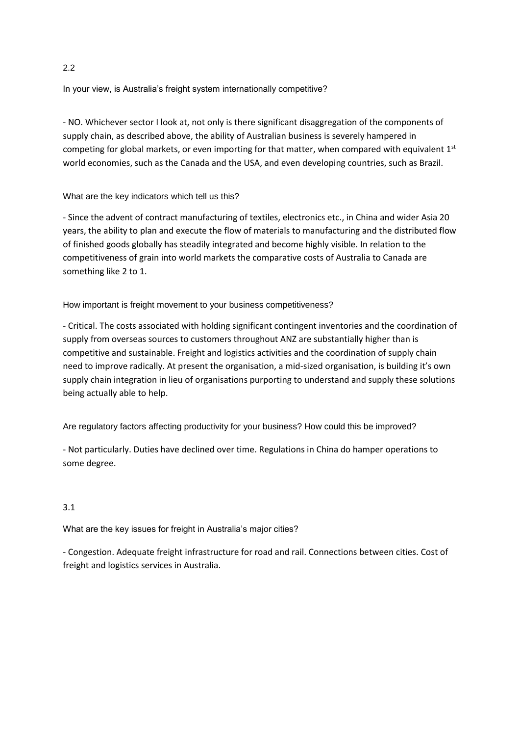In your view, is Australia's freight system internationally competitive?

- NO. Whichever sector I look at, not only is there significant disaggregation of the components of supply chain, as described above, the ability of Australian business is severely hampered in competing for global markets, or even importing for that matter, when compared with equivalent  $1<sup>st</sup>$ world economies, such as the Canada and the USA, and even developing countries, such as Brazil.

What are the key indicators which tell us this?

- Since the advent of contract manufacturing of textiles, electronics etc., in China and wider Asia 20 years, the ability to plan and execute the flow of materials to manufacturing and the distributed flow of finished goods globally has steadily integrated and become highly visible. In relation to the competitiveness of grain into world markets the comparative costs of Australia to Canada are something like 2 to 1.

How important is freight movement to your business competitiveness?

- Critical. The costs associated with holding significant contingent inventories and the coordination of supply from overseas sources to customers throughout ANZ are substantially higher than is competitive and sustainable. Freight and logistics activities and the coordination of supply chain need to improve radically. At present the organisation, a mid-sized organisation, is building it's own supply chain integration in lieu of organisations purporting to understand and supply these solutions being actually able to help.

Are regulatory factors affecting productivity for your business? How could this be improved?

- Not particularly. Duties have declined over time. Regulations in China do hamper operations to some degree.

# 3.1

What are the key issues for freight in Australia's major cities?

- Congestion. Adequate freight infrastructure for road and rail. Connections between cities. Cost of freight and logistics services in Australia.

2.2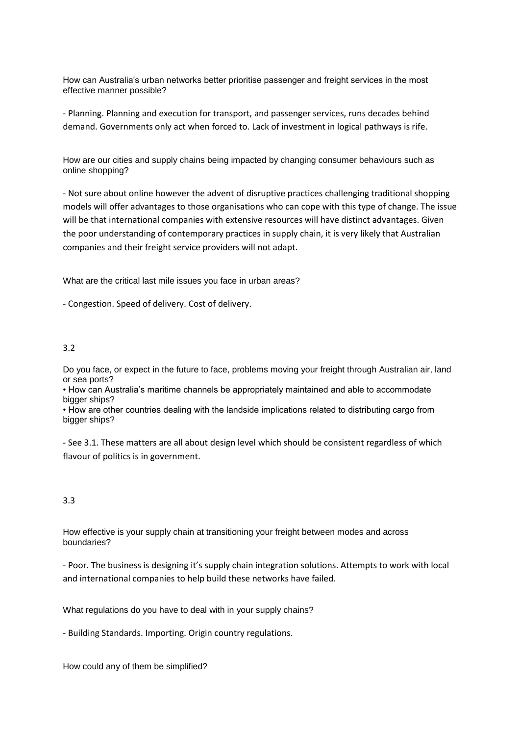How can Australia's urban networks better prioritise passenger and freight services in the most effective manner possible?

- Planning. Planning and execution for transport, and passenger services, runs decades behind demand. Governments only act when forced to. Lack of investment in logical pathways is rife.

How are our cities and supply chains being impacted by changing consumer behaviours such as online shopping?

- Not sure about online however the advent of disruptive practices challenging traditional shopping models will offer advantages to those organisations who can cope with this type of change. The issue will be that international companies with extensive resources will have distinct advantages. Given the poor understanding of contemporary practices in supply chain, it is very likely that Australian companies and their freight service providers will not adapt.

What are the critical last mile issues you face in urban areas?

- Congestion. Speed of delivery. Cost of delivery.

#### 3.2

Do you face, or expect in the future to face, problems moving your freight through Australian air, land or sea ports?

• How can Australia's maritime channels be appropriately maintained and able to accommodate bigger ships?

• How are other countries dealing with the landside implications related to distributing cargo from bigger ships?

- See 3.1. These matters are all about design level which should be consistent regardless of which flavour of politics is in government.

#### 3.3

How effective is your supply chain at transitioning your freight between modes and across boundaries?

- Poor. The business is designing it's supply chain integration solutions. Attempts to work with local and international companies to help build these networks have failed.

What regulations do you have to deal with in your supply chains?

- Building Standards. Importing. Origin country regulations.

How could any of them be simplified?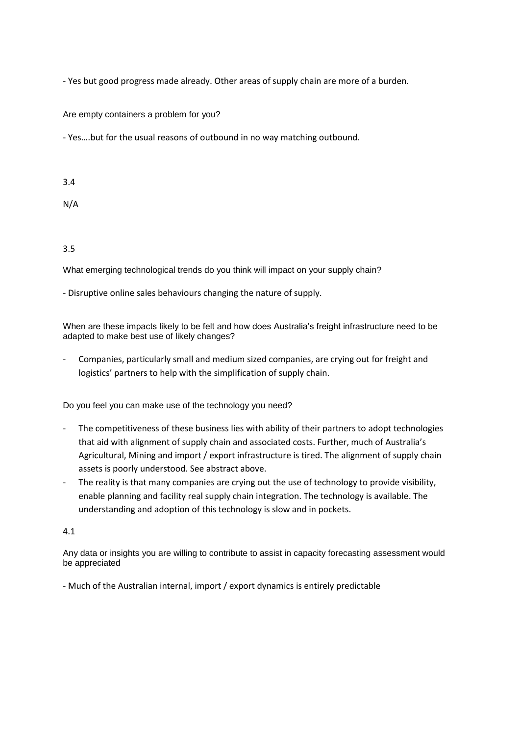- Yes but good progress made already. Other areas of supply chain are more of a burden.

Are empty containers a problem for you?

- Yes….but for the usual reasons of outbound in no way matching outbound.

3.4

N/A

3.5

What emerging technological trends do you think will impact on your supply chain?

- Disruptive online sales behaviours changing the nature of supply.

When are these impacts likely to be felt and how does Australia's freight infrastructure need to be adapted to make best use of likely changes?

- Companies, particularly small and medium sized companies, are crying out for freight and logistics' partners to help with the simplification of supply chain.

Do you feel you can make use of the technology you need?

- The competitiveness of these business lies with ability of their partners to adopt technologies that aid with alignment of supply chain and associated costs. Further, much of Australia's Agricultural, Mining and import / export infrastructure is tired. The alignment of supply chain assets is poorly understood. See abstract above.
- The reality is that many companies are crying out the use of technology to provide visibility, enable planning and facility real supply chain integration. The technology is available. The understanding and adoption of this technology is slow and in pockets.

4.1

Any data or insights you are willing to contribute to assist in capacity forecasting assessment would be appreciated

- Much of the Australian internal, import / export dynamics is entirely predictable